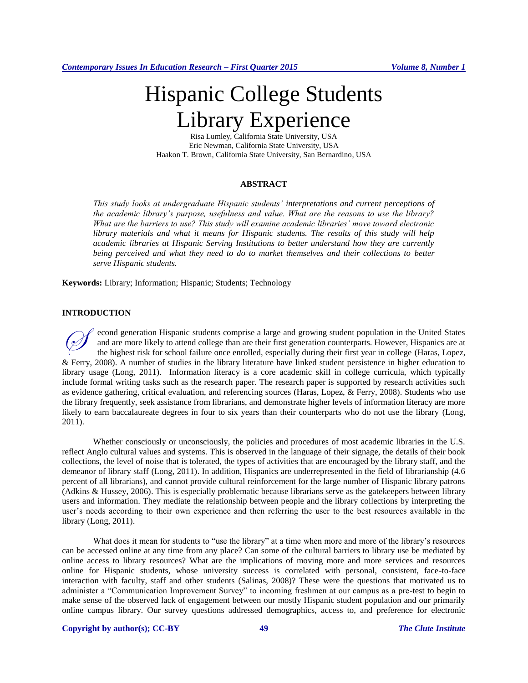# Hispanic College Students Library Experience

Risa Lumley, California State University, USA Eric Newman, California State University, USA Haakon T. Brown, California State University, San Bernardino, USA

#### **ABSTRACT**

*This study looks at undergraduate Hispanic students' interpretations and current perceptions of the academic library's purpose, usefulness and value. What are the reasons to use the library? What are the barriers to use? This study will examine academic libraries' move toward electronic library materials and what it means for Hispanic students. The results of this study will help academic libraries at Hispanic Serving Institutions to better understand how they are currently being perceived and what they need to do to market themselves and their collections to better serve Hispanic students.*

**Keywords:** Library; Information; Hispanic; Students; Technology

## **INTRODUCTION**

econd generation Hispanic students comprise a large and growing student population in the United States and are more likely to attend college than are their first generation counterparts. However, Hispanics are at the highest risk for school failure once enrolled, especially during their first year in college (Haras, Lopez, & Ferry, 2008). A number of studies in the library literature have linked student persistence in higher education to library usage (Long, 2011). Information literacy is a core academic skill in college curricula, which typically include formal writing tasks such as the research paper. The research paper is supported by research activities such as evidence gathering, critical evaluation, and referencing sources (Haras, Lopez, & Ferry, 2008). Students who use the library frequently, seek assistance from librarians, and demonstrate higher levels of information literacy are more likely to earn baccalaureate degrees in four to six years than their counterparts who do not use the library (Long, 2011).  $\oslash$ 

Whether consciously or unconsciously, the policies and procedures of most academic libraries in the U.S. reflect Anglo cultural values and systems. This is observed in the language of their signage, the details of their book collections, the level of noise that is tolerated, the types of activities that are encouraged by the library staff, and the demeanor of library staff (Long, 2011). In addition, Hispanics are underrepresented in the field of librarianship (4.6 percent of all librarians), and cannot provide cultural reinforcement for the large number of Hispanic library patrons (Adkins & Hussey, 2006). This is especially problematic because librarians serve as the gatekeepers between library users and information. They mediate the relationship between people and the library collections by interpreting the user's needs according to their own experience and then referring the user to the best resources available in the library (Long, 2011).

What does it mean for students to "use the library" at a time when more and more of the library's resources can be accessed online at any time from any place? Can some of the cultural barriers to library use be mediated by online access to library resources? What are the implications of moving more and more services and resources online for Hispanic students, whose university success is correlated with personal, consistent, face-to-face interaction with faculty, staff and other students (Salinas, 2008)? These were the questions that motivated us to administer a "Communication Improvement Survey" to incoming freshmen at our campus as a pre-test to begin to make sense of the observed lack of engagement between our mostly Hispanic student population and our primarily online campus library. Our survey questions addressed demographics, access to, and preference for electronic

### **Copyright by author(s); CC-BY 49** *The Clute Institute*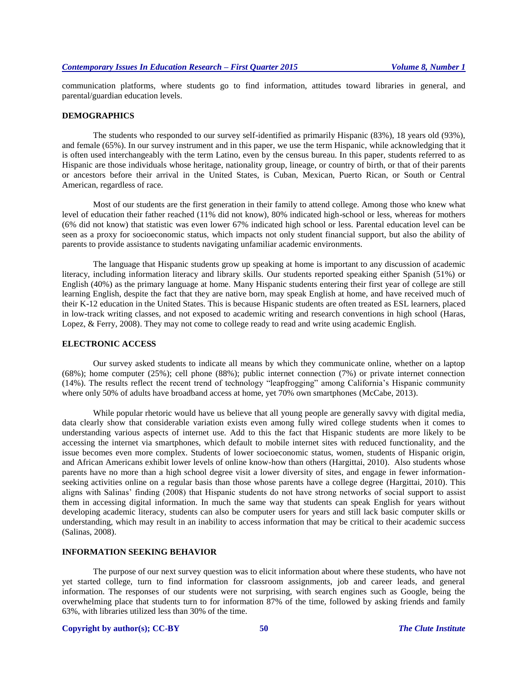communication platforms, where students go to find information, attitudes toward libraries in general, and parental/guardian education levels.

## **DEMOGRAPHICS**

The students who responded to our survey self-identified as primarily Hispanic (83%), 18 years old (93%), and female (65%). In our survey instrument and in this paper, we use the term Hispanic, while acknowledging that it is often used interchangeably with the term Latino, even by the census bureau. In this paper, students referred to as Hispanic are those individuals whose heritage, nationality group, lineage, or country of birth, or that of their parents or ancestors before their arrival in the United States, is Cuban, Mexican, Puerto Rican, or South or Central American, regardless of race.

Most of our students are the first generation in their family to attend college. Among those who knew what level of education their father reached (11% did not know), 80% indicated high-school or less, whereas for mothers (6% did not know) that statistic was even lower 67% indicated high school or less. Parental education level can be seen as a proxy for socioeconomic status, which impacts not only student financial support, but also the ability of parents to provide assistance to students navigating unfamiliar academic environments.

The language that Hispanic students grow up speaking at home is important to any discussion of academic literacy, including information literacy and library skills. Our students reported speaking either Spanish (51%) or English (40%) as the primary language at home. Many Hispanic students entering their first year of college are still learning English, despite the fact that they are native born, may speak English at home, and have received much of their K-12 education in the United States. This is because Hispanic students are often treated as ESL learners, placed in low-track writing classes, and not exposed to academic writing and research conventions in high school (Haras, Lopez, & Ferry, 2008). They may not come to college ready to read and write using academic English.

#### **ELECTRONIC ACCESS**

Our survey asked students to indicate all means by which they communicate online, whether on a laptop (68%); home computer (25%); cell phone (88%); public internet connection (7%) or private internet connection (14%). The results reflect the recent trend of technology "leapfrogging" among California's Hispanic community where only 50% of adults have broadband access at home, yet 70% own smartphones (McCabe, 2013).

While popular rhetoric would have us believe that all young people are generally savvy with digital media, data clearly show that considerable variation exists even among fully wired college students when it comes to understanding various aspects of internet use. Add to this the fact that Hispanic students are more likely to be accessing the internet via smartphones, which default to mobile internet sites with reduced functionality, and the issue becomes even more complex. Students of lower socioeconomic status, women, students of Hispanic origin, and African Americans exhibit lower levels of online know-how than others (Hargittai, 2010). Also students whose parents have no more than a high school degree visit a lower diversity of sites, and engage in fewer informationseeking activities online on a regular basis than those whose parents have a college degree (Hargittai, 2010). This aligns with Salinas' finding (2008) that Hispanic students do not have strong networks of social support to assist them in accessing digital information. In much the same way that students can speak English for years without developing academic literacy, students can also be computer users for years and still lack basic computer skills or understanding, which may result in an inability to access information that may be critical to their academic success (Salinas, 2008).

### **INFORMATION SEEKING BEHAVIOR**

The purpose of our next survey question was to elicit information about where these students, who have not yet started college, turn to find information for classroom assignments, job and career leads, and general information. The responses of our students were not surprising, with search engines such as Google, being the overwhelming place that students turn to for information 87% of the time, followed by asking friends and family 63%, with libraries utilized less than 30% of the time.

#### **Copyright by author(s); CC-BY 50** *The Clute Institute*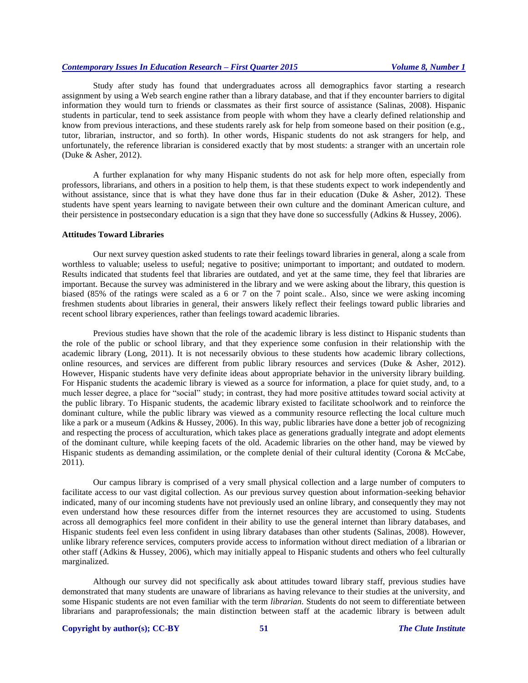Study after study has found that undergraduates across all demographics favor starting a research assignment by using a Web search engine rather than a library database, and that if they encounter barriers to digital information they would turn to friends or classmates as their first source of assistance (Salinas, 2008). Hispanic students in particular, tend to seek assistance from people with whom they have a clearly defined relationship and know from previous interactions, and these students rarely ask for help from someone based on their position (e.g., tutor, librarian, instructor, and so forth). In other words, Hispanic students do not ask strangers for help, and unfortunately, the reference librarian is considered exactly that by most students: a stranger with an uncertain role (Duke & Asher, 2012).

A further explanation for why many Hispanic students do not ask for help more often, especially from professors, librarians, and others in a position to help them, is that these students expect to work independently and without assistance, since that is what they have done thus far in their education (Duke  $\&$  Asher, 2012). These students have spent years learning to navigate between their own culture and the dominant American culture, and their persistence in postsecondary education is a sign that they have done so successfully (Adkins & Hussey, 2006).

#### **Attitudes Toward Libraries**

Our next survey question asked students to rate their feelings toward libraries in general, along a scale from worthless to valuable; useless to useful; negative to positive; unimportant to important; and outdated to modern. Results indicated that students feel that libraries are outdated, and yet at the same time, they feel that libraries are important. Because the survey was administered in the library and we were asking about the library, this question is biased (85% of the ratings were scaled as a 6 or 7 on the 7 point scale.. Also, since we were asking incoming freshmen students about libraries in general, their answers likely reflect their feelings toward public libraries and recent school library experiences, rather than feelings toward academic libraries.

Previous studies have shown that the role of the academic library is less distinct to Hispanic students than the role of the public or school library, and that they experience some confusion in their relationship with the academic library (Long, 2011). It is not necessarily obvious to these students how academic library collections, online resources, and services are different from public library resources and services (Duke & Asher, 2012). However, Hispanic students have very definite ideas about appropriate behavior in the university library building. For Hispanic students the academic library is viewed as a source for information, a place for quiet study, and, to a much lesser degree, a place for "social" study; in contrast, they had more positive attitudes toward social activity at the public library. To Hispanic students, the academic library existed to facilitate schoolwork and to reinforce the dominant culture, while the public library was viewed as a community resource reflecting the local culture much like a park or a museum (Adkins & Hussey, 2006). In this way, public libraries have done a better job of recognizing and respecting the process of acculturation, which takes place as generations gradually integrate and adopt elements of the dominant culture, while keeping facets of the old. Academic libraries on the other hand, may be viewed by Hispanic students as demanding assimilation, or the complete denial of their cultural identity (Corona & McCabe, 2011).

Our campus library is comprised of a very small physical collection and a large number of computers to facilitate access to our vast digital collection. As our previous survey question about information-seeking behavior indicated, many of our incoming students have not previously used an online library, and consequently they may not even understand how these resources differ from the internet resources they are accustomed to using. Students across all demographics feel more confident in their ability to use the general internet than library databases, and Hispanic students feel even less confident in using library databases than other students (Salinas, 2008). However, unlike library reference services, computers provide access to information without direct mediation of a librarian or other staff (Adkins & Hussey, 2006), which may initially appeal to Hispanic students and others who feel culturally marginalized.

Although our survey did not specifically ask about attitudes toward library staff, previous studies have demonstrated that many students are unaware of librarians as having relevance to their studies at the university, and some Hispanic students are not even familiar with the term *librarian.* Students do not seem to differentiate between librarians and paraprofessionals; the main distinction between staff at the academic library is between adult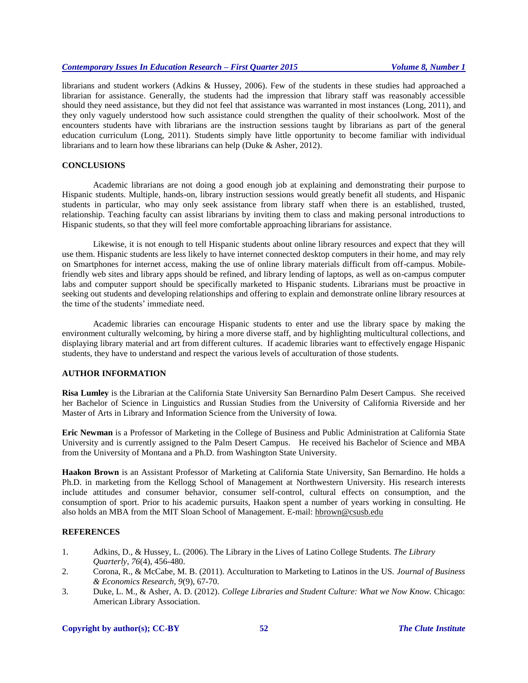librarians and student workers (Adkins & Hussey, 2006). Few of the students in these studies had approached a librarian for assistance. Generally, the students had the impression that library staff was reasonably accessible should they need assistance, but they did not feel that assistance was warranted in most instances (Long, 2011), and they only vaguely understood how such assistance could strengthen the quality of their schoolwork. Most of the encounters students have with librarians are the instruction sessions taught by librarians as part of the general education curriculum (Long, 2011). Students simply have little opportunity to become familiar with individual librarians and to learn how these librarians can help (Duke & Asher, 2012).

## **CONCLUSIONS**

Academic librarians are not doing a good enough job at explaining and demonstrating their purpose to Hispanic students. Multiple, hands-on, library instruction sessions would greatly benefit all students, and Hispanic students in particular, who may only seek assistance from library staff when there is an established, trusted, relationship. Teaching faculty can assist librarians by inviting them to class and making personal introductions to Hispanic students, so that they will feel more comfortable approaching librarians for assistance.

Likewise, it is not enough to tell Hispanic students about online library resources and expect that they will use them. Hispanic students are less likely to have internet connected desktop computers in their home, and may rely on Smartphones for internet access, making the use of online library materials difficult from off-campus. Mobilefriendly web sites and library apps should be refined, and library lending of laptops, as well as on-campus computer labs and computer support should be specifically marketed to Hispanic students. Librarians must be proactive in seeking out students and developing relationships and offering to explain and demonstrate online library resources at the time of the students' immediate need.

Academic libraries can encourage Hispanic students to enter and use the library space by making the environment culturally welcoming, by hiring a more diverse staff, and by highlighting multicultural collections, and displaying library material and art from different cultures. If academic libraries want to effectively engage Hispanic students, they have to understand and respect the various levels of acculturation of those students.

#### **AUTHOR INFORMATION**

**Risa Lumley** is the Librarian at the California State University San Bernardino Palm Desert Campus. She received her Bachelor of Science in Linguistics and Russian Studies from the University of California Riverside and her Master of Arts in Library and Information Science from the University of Iowa.

**Eric Newman** is a Professor of Marketing in the College of Business and Public Administration at California State University and is currently assigned to the Palm Desert Campus. He received his Bachelor of Science and MBA from the University of Montana and a Ph.D. from Washington State University.

**Haakon Brown** is an Assistant Professor of Marketing at California State University, San Bernardino. He holds a Ph.D. in marketing from the Kellogg School of Management at Northwestern University. His research interests include attitudes and consumer behavior, consumer self-control, cultural effects on consumption, and the consumption of sport. Prior to his academic pursuits, Haakon spent a number of years working in consulting. He also holds an MBA from the MIT Sloan School of Management. E-mail: [hbrown@csusb.edu](mailto:hbrown@csusb.edu)

# **REFERENCES**

- 1. Adkins, D., & Hussey, L. (2006). The Library in the Lives of Latino College Students. *The Library Quarterly, 76*(4), 456-480.
- 2. Corona, R., & McCabe, M. B. (2011). Acculturation to Marketing to Latinos in the US. *Journal of Business & Economics Research, 9*(9), 67-70.
- 3. Duke, L. M., & Asher, A. D. (2012). *College Libraries and Student Culture: What we Now Know.* Chicago: American Library Association.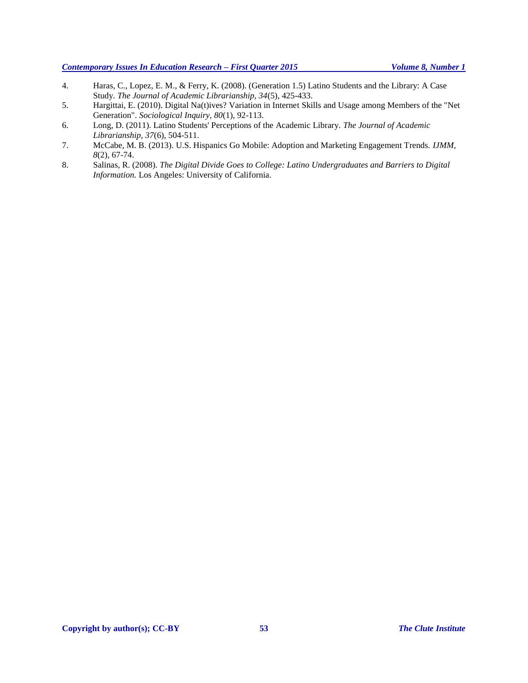- 4. Haras, C., Lopez, E. M., & Ferry, K. (2008). (Generation 1.5) Latino Students and the Library: A Case Study. *The Journal of Academic Librarianship, 34*(5), 425-433.
- 5. Hargittai, E. (2010). Digital Na(t)ives? Variation in Internet Skills and Usage among Members of the "Net Generation". *Sociological Inquiry, 80*(1), 92-113.
- 6. Long, D. (2011). Latino Students' Perceptions of the Academic Library. *The Journal of Academic Librarianship, 37*(6), 504-511.
- 7. McCabe, M. B. (2013). U.S. Hispanics Go Mobile: Adoption and Marketing Engagement Trends. *IJMM, 8*(2), 67-74.
- 8. Salinas, R. (2008). *The Digital Divide Goes to College: Latino Undergraduates and Barriers to Digital Information.* Los Angeles: University of California.